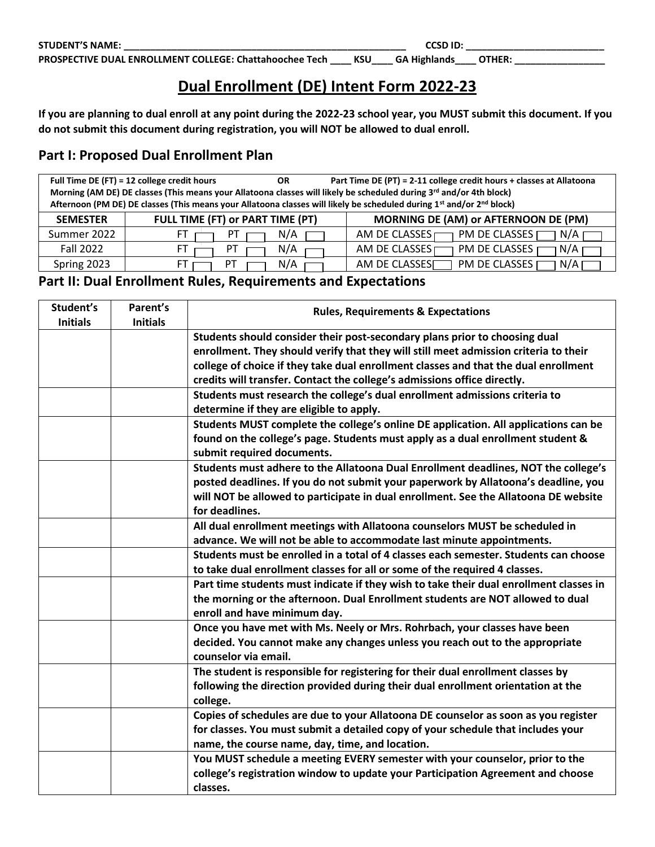## **Dual Enrollment (DE) Intent Form 2022-23**

**If you are planning to dual enroll at any point during the 2022-23 school year, you MUST submit this document. If you do not submit this document during registration, you will NOT be allowed to dual enroll.** 

## **Part I: Proposed Dual Enrollment Plan**

| Full Time DE (FT) = 12 college credit hours<br>Part Time DE (PT) = 2-11 college credit hours + classes at Allatoona<br>OR.<br>Morning (AM DE) DE classes (This means your Allatoona classes will likely be scheduled during 3 <sup>rd</sup> and/or 4th block)<br>Afternoon (PM DE) DE classes (This means your Allatoona classes will likely be scheduled during 1st and/or 2 <sup>nd</sup> block) |                                  |     |                                                    |  |  |  |
|----------------------------------------------------------------------------------------------------------------------------------------------------------------------------------------------------------------------------------------------------------------------------------------------------------------------------------------------------------------------------------------------------|----------------------------------|-----|----------------------------------------------------|--|--|--|
| <b>SEMESTER</b>                                                                                                                                                                                                                                                                                                                                                                                    | FULL TIME (FT) or PART TIME (PT) |     | MORNING DE (AM) or AFTERNOON DE (PM)               |  |  |  |
| Summer 2022                                                                                                                                                                                                                                                                                                                                                                                        | F٦                               | N/A | <b>PM DE CLASSES</b><br>N/A<br>AM DE CLASSES       |  |  |  |
| <b>Fall 2022</b>                                                                                                                                                                                                                                                                                                                                                                                   |                                  | N/A | PM DE CLASSES<br>N/A<br>AM DE CLASSES              |  |  |  |
| Spring 2023                                                                                                                                                                                                                                                                                                                                                                                        |                                  | N/A | AM DE CLASSES <sub>I</sub><br>PM DE CLASSES<br>N/A |  |  |  |

## **Part II: Dual Enrollment Rules, Requirements and Expectations**

| Student's       | Parent's        | <b>Rules, Requirements &amp; Expectations</b>                                          |  |  |
|-----------------|-----------------|----------------------------------------------------------------------------------------|--|--|
| <b>Initials</b> | <b>Initials</b> |                                                                                        |  |  |
|                 |                 | Students should consider their post-secondary plans prior to choosing dual             |  |  |
|                 |                 | enrollment. They should verify that they will still meet admission criteria to their   |  |  |
|                 |                 | college of choice if they take dual enrollment classes and that the dual enrollment    |  |  |
|                 |                 | credits will transfer. Contact the college's admissions office directly.               |  |  |
|                 |                 | Students must research the college's dual enrollment admissions criteria to            |  |  |
|                 |                 | determine if they are eligible to apply.                                               |  |  |
|                 |                 | Students MUST complete the college's online DE application. All applications can be    |  |  |
|                 |                 | found on the college's page. Students must apply as a dual enrollment student &        |  |  |
|                 |                 | submit required documents.                                                             |  |  |
|                 |                 | Students must adhere to the Allatoona Dual Enrollment deadlines, NOT the college's     |  |  |
|                 |                 | posted deadlines. If you do not submit your paperwork by Allatoona's deadline, you     |  |  |
|                 |                 | will NOT be allowed to participate in dual enrollment. See the Allatoona DE website    |  |  |
|                 |                 | for deadlines.                                                                         |  |  |
|                 |                 | All dual enrollment meetings with Allatoona counselors MUST be scheduled in            |  |  |
|                 |                 | advance. We will not be able to accommodate last minute appointments.                  |  |  |
|                 |                 | Students must be enrolled in a total of 4 classes each semester. Students can choose   |  |  |
|                 |                 | to take dual enrollment classes for all or some of the required 4 classes.             |  |  |
|                 |                 | Part time students must indicate if they wish to take their dual enrollment classes in |  |  |
|                 |                 | the morning or the afternoon. Dual Enrollment students are NOT allowed to dual         |  |  |
|                 |                 | enroll and have minimum day.                                                           |  |  |
|                 |                 | Once you have met with Ms. Neely or Mrs. Rohrbach, your classes have been              |  |  |
|                 |                 | decided. You cannot make any changes unless you reach out to the appropriate           |  |  |
|                 |                 | counselor via email.                                                                   |  |  |
|                 |                 | The student is responsible for registering for their dual enrollment classes by        |  |  |
|                 |                 | following the direction provided during their dual enrollment orientation at the       |  |  |
|                 |                 | college.                                                                               |  |  |
|                 |                 | Copies of schedules are due to your Allatoona DE counselor as soon as you register     |  |  |
|                 |                 | for classes. You must submit a detailed copy of your schedule that includes your       |  |  |
|                 |                 | name, the course name, day, time, and location.                                        |  |  |
|                 |                 | You MUST schedule a meeting EVERY semester with your counselor, prior to the           |  |  |
|                 |                 | college's registration window to update your Participation Agreement and choose        |  |  |
|                 |                 | classes.                                                                               |  |  |
|                 |                 |                                                                                        |  |  |